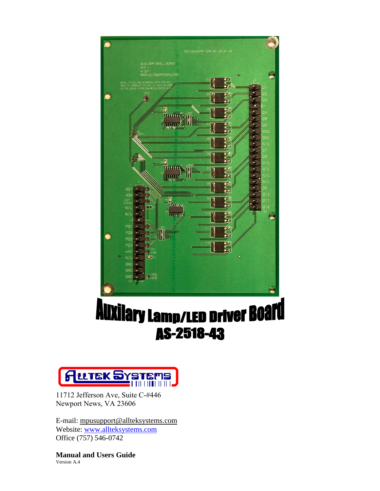



11712 Jefferson Ave, Suite C-#446 Newport News, VA 23606

E-mail: mp[usupport@allteksystems.com](mailto:support@allteksystems.com) Website: [www.allteksystems.com](http://www.allteksystems.com/) Office (757) 546-0742

**Manual and Users Guide**  Version A.4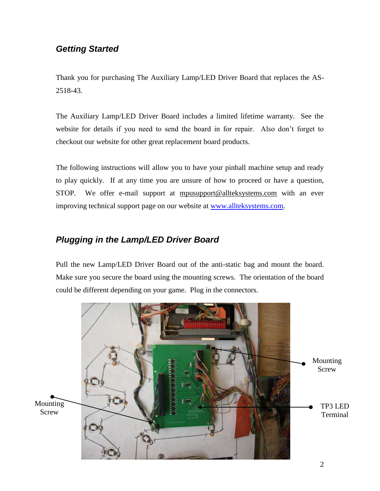## *Getting Started*

Thank you for purchasing The Auxiliary Lamp/LED Driver Board that replaces the AS-2518-43.

The Auxiliary Lamp/LED Driver Board includes a limited lifetime warranty. See the website for details if you need to send the board in for repair. Also don't forget to checkout our website for other great replacement board products.

The following instructions will allow you to have your pinball machine setup and ready to play quickly. If at any time you are unsure of how to proceed or have a question, STOP. We offer e-mail support at mp[usupport@allteksystems.com](mailto:support@allteksystems.com) with an ever improving technical support page on our website at [www.allteksystems.com.](http://www.allteksystems.com/)

## *Plugging in the Lamp/LED Driver Board*

Pull the new Lamp/LED Driver Board out of the anti-static bag and mount the board. Make sure you secure the board using the mounting screws. The orientation of the board could be different depending on your game. Plug in the connectors.

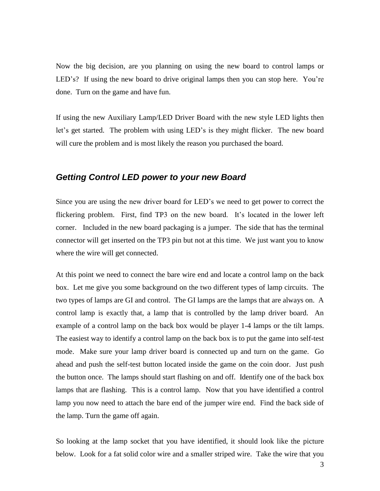Now the big decision, are you planning on using the new board to control lamps or LED's? If using the new board to drive original lamps then you can stop here. You're done. Turn on the game and have fun.

If using the new Auxiliary Lamp/LED Driver Board with the new style LED lights then let's get started. The problem with using LED's is they might flicker. The new board will cure the problem and is most likely the reason you purchased the board.

## *Getting Control LED power to your new Board*

Since you are using the new driver board for LED's we need to get power to correct the flickering problem. First, find TP3 on the new board. It's located in the lower left corner. Included in the new board packaging is a jumper. The side that has the terminal connector will get inserted on the TP3 pin but not at this time. We just want you to know where the wire will get connected.

At this point we need to connect the bare wire end and locate a control lamp on the back box. Let me give you some background on the two different types of lamp circuits. The two types of lamps are GI and control. The GI lamps are the lamps that are always on. A control lamp is exactly that, a lamp that is controlled by the lamp driver board. An example of a control lamp on the back box would be player 1-4 lamps or the tilt lamps. The easiest way to identify a control lamp on the back box is to put the game into self-test mode. Make sure your lamp driver board is connected up and turn on the game. Go ahead and push the self-test button located inside the game on the coin door. Just push the button once. The lamps should start flashing on and off. Identify one of the back box lamps that are flashing. This is a control lamp. Now that you have identified a control lamp you now need to attach the bare end of the jumper wire end. Find the back side of the lamp. Turn the game off again.

So looking at the lamp socket that you have identified, it should look like the picture below. Look for a fat solid color wire and a smaller striped wire. Take the wire that you